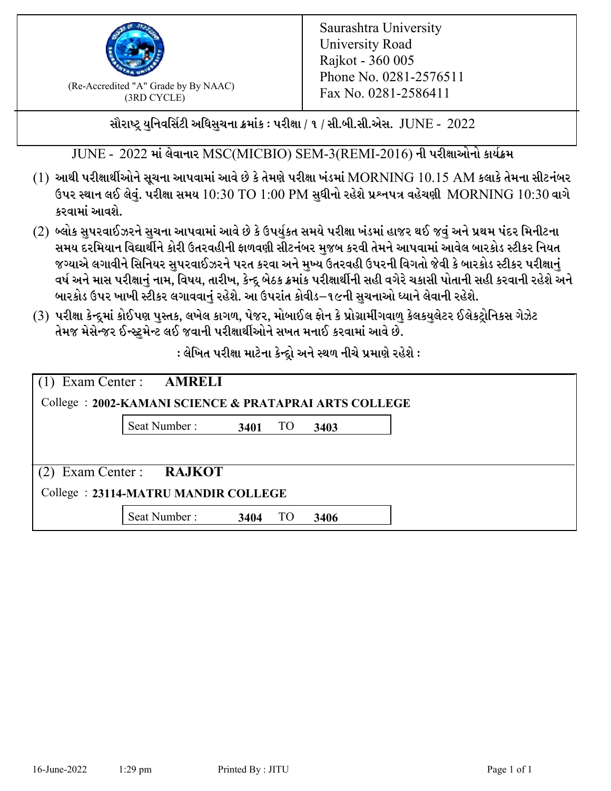

 $F_{\text{R}}$  (Re-Accredited "A" Grade by By NAAC)<br>(3PD CVCLE)<br> $F_{\text{R}}$  No. 0281-2586411 (3RD CYCLE)

સૌરાષ્ટ્ર યુનિવર્સિટી અધિસુચના ક્રમાંક : પરીક્ષા / ૧ / સી.બી.સી.એસ.  $\,$  JUNE -  $\,2022$ 

JUNE - 2022 માં લેવાનાર MSC(MICBIO) SEM-3(REMI-2016) ની પરીક્ષાઓનો કાર્યક્રમ

- $(1)$  આથી પરીક્ષાર્થીઓને સૂચના આપવામાં આવે છે કે તેમણે પરીક્ષા ખંડમાં  $\operatorname{MORNING}$   $10.15$   $\operatorname{AM}$  કલાકે તેમના સીટનંબર ઉપર સ્થાન લઈ લેવું. પરીક્ષા સમય  $10:30 \text{ TO } 1:00 \text{ PM}$  સુધીનો રહેશે પ્રશ્નપત્ર વહેચણી  $\text{MORNING } 10:30$  વાગે કરવામાં આવશે.
- (2) બ્લોક સુપરવાઈઝરને સુચના આપવામાં આવે છે કે ઉપર્યુકત સમયે પરીક્ષા ખંડમાં હાજર થઈ જવું અને પ્રથમ પંદર મિનીટના સમય દરમિયાન વિદ્યાર્થીને કોરી ઉતરવહીની ફાળવણી સીટનંબર મજબ કરવી તેમને આપવામાં આવેલ બારકોડ સ્ટીકર નિયત જગ્યાએ લગાવીને સિનિયર સુપરવાઈઝરને પરત કરવા અને મુખ્ય ઉતરવહી ઉપરની વિગતો જેવી કે બારકોડ સ્ટીકર પરીક્ષ<u>ાન</u>ં વર્ષ અને માસ પરીક્ષાનું નામ, વિષય, તારીખ, કેન્દ્ર બેઠક ક્રમાંક પરીક્ષાર્થીની સહી વગેરે ચકાસી પોતાની સહી કરવાની રહેશે અને બારકોડ ઉપર ખાખી સ્ટીકર લગાવવાનં રહેશે. આ ઉપરાંત કોવીડ–૧૯ની સચનાઓ ધ્યાને લેવાની રહેશે.
- (3) પરીક્ષા કેન્દ્રમાં કોઈપણ પુસ્તક, લખેલ કાગળ, પેજર, મોબાઈલ ફોન કે પ્રોગ્રામીંગવાળુ કેલકયુલેટર ઈલેકટ્રોનિકસ ગેઝેટ તેમજ મેસેન્જર ઈન્સ્ટમેન્ટ લઈ જવાની પરીક્ષાર્થીઓને સખત મનાઈ કરવામાં આવે છે.

: લેખિત પરીક્ષા માટેના કેન્દ્દો અને સ્થળ નીચે પ્રમાણે રહેશે :

| $(1)$ Exam Center : <b>AMRELI</b>                     |              |      |    |      |  |  |  |
|-------------------------------------------------------|--------------|------|----|------|--|--|--|
| College: 2002-KAMANI SCIENCE & PRATAPRAI ARTS COLLEGE |              |      |    |      |  |  |  |
|                                                       | Seat Number: | 3401 | TO | 3403 |  |  |  |
|                                                       |              |      |    |      |  |  |  |
| Exam Center: RAJKOT<br>(2)                            |              |      |    |      |  |  |  |
| College: 23114-MATRU MANDIR COLLEGE                   |              |      |    |      |  |  |  |
|                                                       | Seat Number: | 3404 | TO | 3406 |  |  |  |